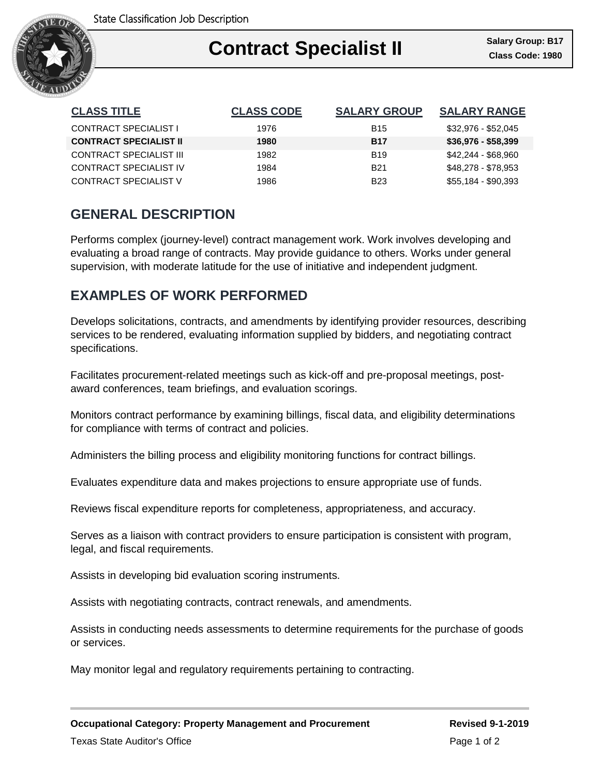

| <b>CLASS TITLE</b>            | <b>CLASS CODE</b> | <b>SALARY GROUP</b> | <b>SALARY RANGE</b> |
|-------------------------------|-------------------|---------------------|---------------------|
| <b>CONTRACT SPECIALIST I</b>  | 1976              | <b>B</b> 15         | \$32,976 - \$52,045 |
| <b>CONTRACT SPECIALIST II</b> | 1980              | <b>B17</b>          | \$36,976 - \$58,399 |
| CONTRACT SPECIALIST III       | 1982              | <b>B19</b>          | \$42,244 - \$68,960 |
| CONTRACT SPECIALIST IV        | 1984              | <b>B21</b>          | \$48,278 - \$78,953 |
| CONTRACT SPECIALIST V         | 1986              | <b>B23</b>          | \$55,184 - \$90,393 |

# **GENERAL DESCRIPTION**

Performs complex (journey-level) contract management work. Work involves developing and evaluating a broad range of contracts. May provide guidance to others. Works under general supervision, with moderate latitude for the use of initiative and independent judgment.

## **EXAMPLES OF WORK PERFORMED**

Develops solicitations, contracts, and amendments by identifying provider resources, describing services to be rendered, evaluating information supplied by bidders, and negotiating contract specifications.

Facilitates procurement-related meetings such as kick-off and pre-proposal meetings, postaward conferences, team briefings, and evaluation scorings.

Monitors contract performance by examining billings, fiscal data, and eligibility determinations for compliance with terms of contract and policies.

Administers the billing process and eligibility monitoring functions for contract billings.

Evaluates expenditure data and makes projections to ensure appropriate use of funds.

Reviews fiscal expenditure reports for completeness, appropriateness, and accuracy.

Serves as a liaison with contract providers to ensure participation is consistent with program, legal, and fiscal requirements.

Assists in developing bid evaluation scoring instruments.

Assists with negotiating contracts, contract renewals, and amendments.

Assists in conducting needs assessments to determine requirements for the purchase of goods or services.

May monitor legal and regulatory requirements pertaining to contracting.